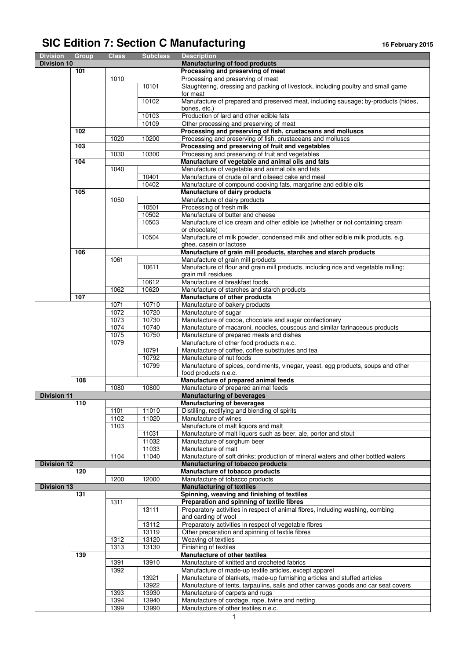## SIC Edition 7: Section C Manufacturing *16 February 2015*

| <b>Division</b>    | Group | <b>Class</b> | <b>Subclass</b> | <b>Description</b>                                                                                                                   |
|--------------------|-------|--------------|-----------------|--------------------------------------------------------------------------------------------------------------------------------------|
| <b>Division 10</b> |       |              |                 | <b>Manufacturing of food products</b>                                                                                                |
|                    | 101   |              |                 | Processing and preserving of meat                                                                                                    |
|                    |       | 1010         |                 | Processing and preserving of meat                                                                                                    |
|                    |       |              | 10101           | Slaughtering, dressing and packing of livestock, including poultry and small game                                                    |
|                    |       |              | 10102           | for meat                                                                                                                             |
|                    |       |              |                 | Manufacture of prepared and preserved meat, including sausage; by-products (hides,<br>bones, etc.)                                   |
|                    |       |              | 10103           | Production of lard and other edible fats                                                                                             |
|                    |       |              | 10109           |                                                                                                                                      |
|                    | 102   |              |                 | Other processing and preserving of meat<br>Processing and preserving of fish, crustaceans and molluscs                               |
|                    |       | 1020         | 10200           | Processing and preserving of fish, crustaceans and molluscs                                                                          |
|                    | 103   |              |                 | Processing and preserving of fruit and vegetables                                                                                    |
|                    |       | 1030         | 10300           | Processing and preserving of fruit and vegetables                                                                                    |
|                    | 104   |              |                 | Manufacture of vegetable and animal oils and fats                                                                                    |
|                    |       | 1040         |                 | Manufacture of vegetable and animal oils and fats                                                                                    |
|                    |       |              | 10401           | Manufacture of crude oil and oilseed cake and meal                                                                                   |
|                    |       |              | 10402           | Manufacture of compound cooking fats, margarine and edible oils                                                                      |
|                    | 105   |              |                 | Manufacture of dairy products                                                                                                        |
|                    |       | 1050         |                 | Manufacture of dairy products                                                                                                        |
|                    |       |              | 10501           | Processing of fresh milk                                                                                                             |
|                    |       |              | 10502           | Manufacture of butter and cheese                                                                                                     |
|                    |       |              | 10503           | Manufacture of ice cream and other edible ice (whether or not containing cream                                                       |
|                    |       |              |                 | or chocolate)                                                                                                                        |
|                    |       |              | 10504           | Manufacture of milk powder, condensed milk and other edible milk products, e.g.                                                      |
|                    |       |              |                 | ghee, casein or lactose                                                                                                              |
|                    | 106   |              |                 | Manufacture of grain mill products, starches and starch products                                                                     |
|                    |       | 1061         |                 | Manufacture of grain mill products                                                                                                   |
|                    |       |              | 10611           | Manufacture of flour and grain mill products, including rice and vegetable milling;                                                  |
|                    |       |              |                 | grain mill residues                                                                                                                  |
|                    |       |              | 10612           | Manufacture of breakfast foods                                                                                                       |
|                    |       | 1062         | 10620           | Manufacture of starches and starch products                                                                                          |
|                    | 107   |              |                 | Manufacture of other products                                                                                                        |
|                    |       | 1071         | 10710           | Manufacture of bakery products                                                                                                       |
|                    |       | 1072         | 10720           | Manufacture of sugar                                                                                                                 |
|                    |       | 1073         | 10730           | Manufacture of cocoa, chocolate and sugar confectionery                                                                              |
|                    |       | 1074         | 10740           | Manufacture of macaroni, noodles, couscous and similar farinaceous products                                                          |
|                    |       | 1075         | 10750           | Manufacture of prepared meals and dishes                                                                                             |
|                    |       | 1079         |                 | Manufacture of other food products n.e.c.                                                                                            |
|                    |       |              | 10791<br>10792  | Manufacture of coffee, coffee substitutes and tea                                                                                    |
|                    |       |              | 10799           | Manufacture of nut foods<br>Manufacture of spices, condiments, vinegar, yeast, egg products, soups and other                         |
|                    |       |              |                 | food products n.e.c.                                                                                                                 |
|                    | 108   |              |                 | Manufacture of prepared animal feeds                                                                                                 |
|                    |       | 1080         | 10800           | Manufacture of prepared animal feeds                                                                                                 |
| <b>Division 11</b> |       |              |                 | <b>Manufacturing of beverages</b>                                                                                                    |
|                    | 110   |              |                 | <b>Manufacturing of beverages</b>                                                                                                    |
|                    |       | 1101         | 11010           | Distilling, rectifying and blending of spirits                                                                                       |
|                    |       | 1102         | 11020           | Manufacture of wines                                                                                                                 |
|                    |       | 1103         |                 | Manufacture of malt liquors and malt                                                                                                 |
|                    |       |              | 11031           | Manufacture of malt liquors such as beer, ale, porter and stout                                                                      |
|                    |       |              | 11032           | Manufacture of sorghum beer                                                                                                          |
|                    |       |              | 11033           | Manufacture of malt                                                                                                                  |
|                    |       | 1104         | 11040           | Manufacture of soft drinks; production of mineral waters and other bottled waters                                                    |
| <b>Division 12</b> |       |              |                 | <b>Manufacturing of tobacco products</b>                                                                                             |
|                    | 120   |              |                 | Manufacture of tobacco products                                                                                                      |
|                    |       | 1200         | 12000           | Manufacture of tobacco products                                                                                                      |
| <b>Division 13</b> |       |              |                 | <b>Manufacturing of textiles</b>                                                                                                     |
|                    | 131   |              |                 | Spinning, weaving and finishing of textiles                                                                                          |
|                    |       | 1311         |                 | Preparation and spinning of textile fibres                                                                                           |
|                    |       |              | 13111           | Preparatory activities in respect of animal fibres, including washing, combing                                                       |
|                    |       |              |                 | and carding of wool                                                                                                                  |
|                    |       |              | 13112           | Preparatory activities in respect of vegetable fibres                                                                                |
|                    |       |              | 13119           | Other preparation and spinning of textile fibres                                                                                     |
|                    |       | 1312         | 13120           | Weaving of textiles                                                                                                                  |
|                    | 139   | 1313         | 13130           | Finishing of textiles                                                                                                                |
|                    |       |              |                 | Manufacture of other textiles                                                                                                        |
|                    |       | 1391<br>1392 | 13910           | Manufacture of knitted and crocheted fabrics                                                                                         |
|                    |       |              | 13921           | Manufacture of made-up textile articles, except apparel<br>Manufacture of blankets, made-up furnishing articles and stuffed articles |
|                    |       |              | 13922           | Manufacture of tents, tarpaulins, sails and other canvas goods and car seat covers                                                   |
|                    |       | 1393         | 13930           | Manufacture of carpets and rugs                                                                                                      |
|                    |       | 1394         | 13940           | Manufacture of cordage, rope, twine and netting                                                                                      |
|                    |       | 1399         | 13990           | Manufacture of other textiles n.e.c.                                                                                                 |
|                    |       |              |                 |                                                                                                                                      |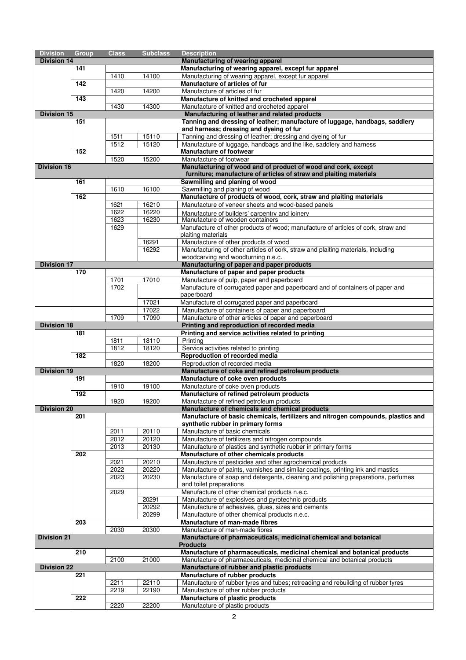| <b>Division</b>    | <b>Group</b>     | <b>Class</b> | <b>Subclass</b> | <b>Description</b>                                                                                                                           |
|--------------------|------------------|--------------|-----------------|----------------------------------------------------------------------------------------------------------------------------------------------|
| <b>Division 14</b> |                  |              |                 | Manufacturing of wearing apparel                                                                                                             |
|                    | 141              |              |                 | Manufacturing of wearing apparel, except fur apparel                                                                                         |
|                    |                  | 1410         | 14100           | Manufacturing of wearing apparel, except fur apparel                                                                                         |
|                    | $\overline{142}$ |              |                 | Manufacture of articles of fur                                                                                                               |
|                    |                  | 1420         | 14200           | Manufacture of articles of fur                                                                                                               |
|                    | $\overline{143}$ |              |                 | Manufacture of knitted and crocheted apparel                                                                                                 |
| <b>Division 15</b> |                  | 1430         | 14300           | Manufacture of knitted and crocheted apparel<br>Manufacturing of leather and related products                                                |
|                    | 151              |              |                 | Tanning and dressing of leather; manufacture of luggage, handbags, saddlery                                                                  |
|                    |                  |              |                 | and harness; dressing and dyeing of fur                                                                                                      |
|                    |                  | 1511         | 15110           | Tanning and dressing of leather; dressing and dyeing of fur                                                                                  |
|                    |                  | 1512         | 15120           | Manufacture of luggage, handbags and the like, saddlery and harness                                                                          |
|                    | 152              |              |                 | <b>Manufacture of footwear</b>                                                                                                               |
|                    |                  | 1520         | 15200           | Manufacture of footwear                                                                                                                      |
| <b>Division 16</b> |                  |              |                 | Manufacturing of wood and of product of wood and cork, except                                                                                |
|                    | 161              |              |                 | furniture; manufacture of articles of straw and plaiting materials<br>Sawmilling and planing of wood                                         |
|                    |                  | 1610         | 16100           | Sawmilling and planing of wood                                                                                                               |
|                    | 162              |              |                 | Manufacture of products of wood, cork, straw and plaiting materials                                                                          |
|                    |                  | 1621         | 16210           | Manufacture of veneer sheets and wood-based panels                                                                                           |
|                    |                  | 1622         | 16220           | Manufacture of builders' carpentry and joinery                                                                                               |
|                    |                  | 1623         | 16230           | Manufacture of wooden containers                                                                                                             |
|                    |                  | 1629         |                 | Manufacture of other products of wood; manufacture of articles of cork, straw and                                                            |
|                    |                  |              |                 | plaiting materials                                                                                                                           |
|                    |                  |              | 16291           | Manufacture of other products of wood                                                                                                        |
|                    |                  |              | 16292           | Manufacturing of other articles of cork, straw and plaiting materials, including<br>woodcarving and woodturning n.e.c.                       |
| <b>Division 17</b> |                  |              |                 | Manufacturing of paper and paper products                                                                                                    |
|                    | 170              |              |                 | Manufacture of paper and paper products                                                                                                      |
|                    |                  | 1701         | 17010           | Manufacture of pulp, paper and paperboard                                                                                                    |
|                    |                  | 1702         |                 | Manufacture of corrugated paper and paperboard and of containers of paper and                                                                |
|                    |                  |              |                 | paperboard                                                                                                                                   |
|                    |                  |              | 17021           | Manufacture of corrugated paper and paperboard                                                                                               |
|                    |                  |              | 17022           | Manufacture of containers of paper and paperboard                                                                                            |
|                    |                  | 1709         | 17090           | Manufacture of other articles of paper and paperboard                                                                                        |
| <b>Division 18</b> | 181              |              |                 | Printing and reproduction of recorded media<br>Printing and service activities related to printing                                           |
|                    |                  | 1811         | 18110           | Printing                                                                                                                                     |
|                    |                  | 1812         | 18120           | Service activities related to printing                                                                                                       |
|                    | 182              |              |                 | Reproduction of recorded media                                                                                                               |
|                    |                  | 1820         | 18200           | Reproduction of recorded media                                                                                                               |
| <b>Division 19</b> |                  |              |                 | Manufacture of coke and refined petroleum products                                                                                           |
|                    | 191              |              |                 | Manufacture of coke oven products                                                                                                            |
|                    | 192              | 1910         | 19100           | Manufacture of coke oven products<br>Manufacture of refined petroleum products                                                               |
|                    |                  | 1920         | 19200           | Manufacture of refined petroleum products                                                                                                    |
| <b>Division 20</b> |                  |              |                 | Manufacture of chemicals and chemical products                                                                                               |
|                    | 201              |              |                 | Manufacture of basic chemicals, fertilizers and nitrogen compounds, plastics and                                                             |
|                    |                  |              |                 | synthetic rubber in primary forms                                                                                                            |
|                    |                  | 2011         | 20110           | Manufacture of basic chemicals                                                                                                               |
|                    |                  | 2012         | 20120           | Manufacture of fertilizers and nitrogen compounds                                                                                            |
|                    |                  | 2013         | 20130           | Manufacture of plastics and synthetic rubber in primary forms                                                                                |
|                    | 202              |              |                 | Manufacture of other chemicals products                                                                                                      |
|                    |                  | 2021<br>2022 | 20210<br>20220  | Manufacture of pesticides and other agrochemical products<br>Manufacture of paints, varnishes and similar coatings, printing ink and mastics |
|                    |                  | 2023         | 20230           | Manufacture of soap and detergents, cleaning and polishing preparations, perfumes                                                            |
|                    |                  |              |                 | and toilet preparations                                                                                                                      |
|                    |                  | 2029         |                 | Manufacture of other chemical products n.e.c.                                                                                                |
|                    |                  |              | 20291           | Manufacture of explosives and pyrotechnic products                                                                                           |
|                    |                  |              | 20292           | Manufacture of adhesives, glues, sizes and cements                                                                                           |
|                    |                  |              | 20299           | Manufacture of other chemical products n.e.c.                                                                                                |
|                    | 203              |              |                 | Manufacture of man-made fibres                                                                                                               |
| <b>Division 21</b> |                  | 2030         | 20300           | Manufacture of man-made fibres                                                                                                               |
|                    |                  |              |                 | Manufacture of pharmaceuticals, medicinal chemical and botanical<br><b>Products</b>                                                          |
|                    | 210              |              |                 | Manufacture of pharmaceuticals, medicinal chemical and botanical products                                                                    |
|                    |                  | 2100         | 21000           | Manufacture of pharmaceuticals, medicinal chemical and botanical products                                                                    |
| <b>Division 22</b> |                  |              |                 | Manufacture of rubber and plastic products                                                                                                   |
|                    | 221              |              |                 | Manufacture of rubber products                                                                                                               |
|                    |                  | 2211         | 22110           | Manufacture of rubber tyres and tubes; retreading and rebuilding of rubber tyres                                                             |
|                    |                  | 2219         | 22190           | Manufacture of other rubber products                                                                                                         |
|                    | 222              |              |                 | Manufacture of plastic products                                                                                                              |
|                    |                  | 2220         | 22200           | Manufacture of plastic products                                                                                                              |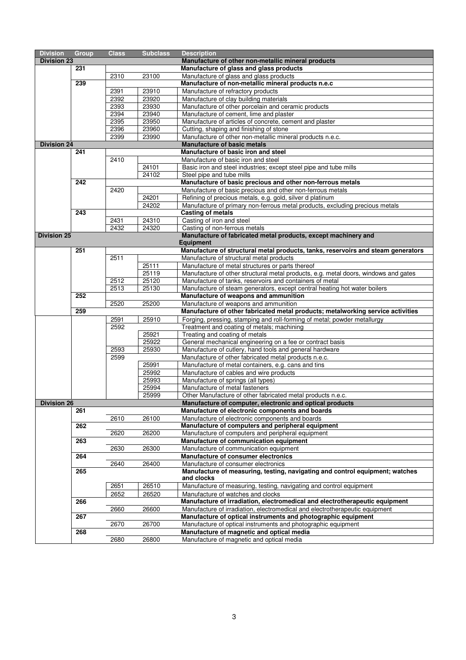| <b>Division</b>    | <b>Group</b>     | <b>Class</b> | <b>Subclass</b> | <b>Description</b>                                                                                     |
|--------------------|------------------|--------------|-----------------|--------------------------------------------------------------------------------------------------------|
| <b>Division 23</b> |                  |              |                 | Manufacture of other non-metallic mineral products                                                     |
|                    | 231              |              |                 | Manufacture of glass and glass products                                                                |
|                    |                  | 2310         | 23100           | Manufacture of glass and glass products                                                                |
|                    | 239              |              |                 | Manufacture of non-metallic mineral products n.e.c                                                     |
|                    |                  | 2391         | 23910           | Manufacture of refractory products                                                                     |
|                    |                  | 2392         | 23920           | Manufacture of clay building materials                                                                 |
|                    |                  | 2393         | 23930           | Manufacture of other porcelain and ceramic products                                                    |
|                    |                  | 2394         | 23940           | Manufacture of cement, lime and plaster                                                                |
|                    |                  | 2395         | 23950           | Manufacture of articles of concrete, cement and plaster                                                |
|                    |                  | 2396         | 23960           | Cutting, shaping and finishing of stone                                                                |
|                    |                  | 2399         | 23990           | Manufacture of other non-metallic mineral products n.e.c.                                              |
| <b>Division 24</b> |                  |              |                 | <b>Manufacture of basic metals</b>                                                                     |
|                    | 241              |              |                 | Manufacture of basic iron and steel                                                                    |
|                    |                  | 2410         |                 | Manufacture of basic iron and steel                                                                    |
|                    |                  |              | 24101           | Basic iron and steel industries; except steel pipe and tube mills                                      |
|                    |                  |              | 24102           | Steel pipe and tube mills                                                                              |
|                    | 242              |              |                 | Manufacture of basic precious and other non-ferrous metals                                             |
|                    |                  | 2420         |                 | Manufacture of basic precious and other non-ferrous metals                                             |
|                    |                  |              | 24201           | Refining of precious metals, e.g. gold, silver d platinum                                              |
|                    |                  |              | 24202           | Manufacture of primary non-ferrous metal products, excluding precious metals                           |
|                    | $\overline{243}$ |              |                 | <b>Casting of metals</b>                                                                               |
|                    |                  | 2431         | 24310           | Casting of iron and steel                                                                              |
|                    |                  | 2432         | 24320           | Casting of non-ferrous metals                                                                          |
| <b>Division 25</b> |                  |              |                 | Manufacture of fabricated metal products, except machinery and<br><b>Equipment</b>                     |
|                    | 251              |              |                 | Manufacture of structural metal products, tanks, reservoirs and steam generators                       |
|                    |                  | 2511         |                 | Manufacture of structural metal products                                                               |
|                    |                  |              | 25111           | Manufacture of metal structures or parts thereof                                                       |
|                    |                  |              | 25119           | Manufacture of other structural metal products, e.g. metal doors, windows and gates                    |
|                    |                  | 2512         | 25120           | Manufacture of tanks, reservoirs and containers of metal                                               |
|                    |                  | 2513         | 25130           | Manufacture of steam generators, except central heating hot water boilers                              |
|                    | 252              |              |                 | Manufacture of weapons and ammunition                                                                  |
|                    |                  | 2520         | 25200           | Manufacture of weapons and ammunition                                                                  |
|                    | 259              |              |                 | Manufacture of other fabricated metal products; metalworking service activities                        |
|                    |                  | 2591         | 25910           | Forging, pressing, stamping and roll-forming of metal; powder metallurgy                               |
|                    |                  | 2592         |                 | Treatment and coating of metals; machining                                                             |
|                    |                  |              | 25921           | Treating and coating of metals                                                                         |
|                    |                  |              | 25922           | General mechanical engineering on a fee or contract basis                                              |
|                    |                  | 2593         | 25930           | Manufacture of cutlery, hand tools and general hardware                                                |
|                    |                  | 2599         |                 | Manufacture of other fabricated metal products n.e.c.                                                  |
|                    |                  |              | 25991           | Manufacture of metal containers, e.g. cans and tins                                                    |
|                    |                  |              | 25992           | Manufacture of cables and wire products                                                                |
|                    |                  |              | 25993           | Manufacture of springs (all types)                                                                     |
|                    |                  |              | 25994           | Manufacture of metal fasteners                                                                         |
|                    |                  |              | 25999           | Other Manufacture of other fabricated metal products n.e.c.                                            |
| <b>Division 26</b> |                  |              |                 | Manufacture of computer, electronic and optical products                                               |
|                    | 261              |              |                 | Manufacture of electronic components and boards                                                        |
|                    | 262              | 2610         | 26100           | Manufacture of electronic components and boards                                                        |
|                    |                  | 2620         | 26200           | Manufacture of computers and peripheral equipment<br>Manufacture of computers and peripheral equipment |
|                    | 263              |              |                 | Manufacture of communication equipment                                                                 |
|                    |                  | 2630         | 26300           | Manufacture of communication equipment                                                                 |
|                    | 264              |              |                 | Manufacture of consumer electronics                                                                    |
|                    |                  | 2640         | 26400           | Manufacture of consumer electronics                                                                    |
|                    | 265              |              |                 | Manufacture of measuring, testing, navigating and control equipment; watches                           |
|                    |                  |              |                 | and clocks                                                                                             |
|                    |                  | 2651         | 26510           | Manufacture of measuring, testing, navigating and control equipment                                    |
|                    |                  | 2652         | 26520           | Manufacture of watches and clocks                                                                      |
|                    | 266              |              |                 | Manufacture of irradiation, electromedical and electrotherapeutic equipment                            |
|                    |                  | 2660         | 26600           | Manufacture of irradiation, electromedical and electrotherapeutic equipment                            |
|                    | 267              |              |                 | Manufacture of optical instruments and photographic equipment                                          |
|                    |                  | 2670         | 26700           | Manufacture of optical instruments and photographic equipment                                          |
|                    | 268              |              |                 | Manufacture of magnetic and optical media                                                              |
|                    |                  | 2680         | 26800           | Manufacture of magnetic and optical media                                                              |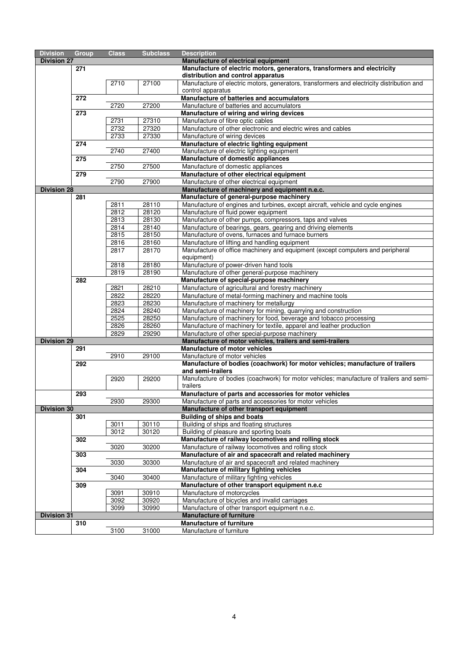| <b>Division</b>    | <b>Group</b> | <b>Class</b> | <b>Subclass</b> | <b>Description</b>                                                                                                                         |
|--------------------|--------------|--------------|-----------------|--------------------------------------------------------------------------------------------------------------------------------------------|
| <b>Division 27</b> |              |              |                 | Manufacture of electrical equipment                                                                                                        |
|                    | 271          |              |                 | Manufacture of electric motors, generators, transformers and electricity                                                                   |
|                    |              |              |                 | distribution and control apparatus                                                                                                         |
|                    |              | 2710         | 27100           | Manufacture of electric motors, generators, transformers and electricity distribution and                                                  |
|                    |              |              |                 | control apparatus                                                                                                                          |
|                    | 272          |              |                 | Manufacture of batteries and accumulators                                                                                                  |
|                    |              | 2720         | 27200           | Manufacture of batteries and accumulators                                                                                                  |
|                    | 273          |              |                 | Manufacture of wiring and wiring devices                                                                                                   |
|                    |              | 2731         | 27310           | Manufacture of fibre optic cables                                                                                                          |
|                    |              | 2732         | 27320           | Manufacture of other electronic and electric wires and cables                                                                              |
|                    |              | 2733         | 27330           | Manufacture of wiring devices                                                                                                              |
|                    | 274          |              |                 | Manufacture of electric lighting equipment                                                                                                 |
|                    |              | 2740         | 27400           | Manufacture of electric lighting equipment                                                                                                 |
|                    | 275          |              |                 | Manufacture of domestic appliances                                                                                                         |
|                    |              | 2750         | 27500           | Manufacture of domestic appliances                                                                                                         |
|                    | 279          |              |                 | Manufacture of other electrical equipment                                                                                                  |
|                    |              | 2790         | 27900           | Manufacture of other electrical equipment                                                                                                  |
| <b>Division 28</b> |              |              |                 | Manufacture of machinery and equipment n.e.c.                                                                                              |
|                    | 281          |              |                 | Manufacture of general-purpose machinery                                                                                                   |
|                    |              | 2811         | 28110           | Manufacture of engines and turbines, except aircraft, vehicle and cycle engines                                                            |
|                    |              | 2812         | 28120           | Manufacture of fluid power equipment                                                                                                       |
|                    |              | 2813         | 28130           | Manufacture of other pumps, compressors, taps and valves                                                                                   |
|                    |              | 2814         | 28140           | Manufacture of bearings, gears, gearing and driving elements                                                                               |
|                    |              | 2815         | 28150           | Manufacture of ovens, furnaces and furnace burners                                                                                         |
|                    |              | 2816         | 28160           | Manufacture of lifting and handling equipment                                                                                              |
|                    |              | 2817         | 28170           | Manufacture of office machinery and equipment (except computers and peripheral                                                             |
|                    |              |              |                 | equipment)                                                                                                                                 |
|                    |              | 2818         | 28180           | Manufacture of power-driven hand tools                                                                                                     |
|                    |              | 2819         | 28190           | Manufacture of other general-purpose machinery                                                                                             |
|                    | 282          |              |                 | Manufacture of special-purpose machinery                                                                                                   |
|                    |              | 2821         | 28210           | Manufacture of agricultural and forestry machinery                                                                                         |
|                    |              | 2822         | 28220           | Manufacture of metal-forming machinery and machine tools                                                                                   |
|                    |              | 2823         | 28230           | Manufacture of machinery for metallurgy                                                                                                    |
|                    |              | 2824         | 28240           | Manufacture of machinery for mining, quarrying and construction                                                                            |
|                    |              | 2525<br>2826 | 28250<br>28260  | Manufacture of machinery for food, beverage and tobacco processing<br>Manufacture of machinery for textile, apparel and leather production |
|                    |              | 2829         | 29290           | Manufacture of other special-purpose machinery                                                                                             |
| <b>Division 29</b> |              |              |                 | Manufacture of motor vehicles, trailers and semi-trailers                                                                                  |
|                    | 291          |              |                 | Manufacture of motor vehicles                                                                                                              |
|                    |              | 2910         | 29100           | Manufacture of motor vehicles                                                                                                              |
|                    | 292          |              |                 | Manufacture of bodies (coachwork) for motor vehicles; manufacture of trailers                                                              |
|                    |              |              |                 | and semi-trailers                                                                                                                          |
|                    |              | 2920         | 29200           | Manufacture of bodies (coachwork) for motor vehicles; manufacture of trailers and semi-                                                    |
|                    |              |              |                 | trailers                                                                                                                                   |
|                    | 293          |              |                 | Manufacture of parts and accessories for motor vehicles                                                                                    |
|                    |              | 2930         | 29300           | Manufacture of parts and accessories for motor vehicles                                                                                    |
| <b>Division 30</b> |              |              |                 | Manufacture of other transport equipment                                                                                                   |
|                    | 301          |              |                 | <b>Building of ships and boats</b>                                                                                                         |
|                    |              | 3011         | 30110           | Building of ships and floating structures                                                                                                  |
|                    |              | 3012         | 30120           | Building of pleasure and sporting boats                                                                                                    |
|                    | 302          |              |                 | Manufacture of railway locomotives and rolling stock                                                                                       |
|                    |              | 3020         | 30200           | Manufacture of railway locomotives and rolling stock                                                                                       |
|                    | 303          |              |                 | Manufacture of air and spacecraft and related machinery                                                                                    |
|                    |              | 3030         | 30300           | Manufacture of air and spacecraft and related machinery                                                                                    |
|                    | 304          |              |                 | Manufacture of military fighting vehicles                                                                                                  |
|                    |              | 3040         | 30400           | Manufacture of military fighting vehicles                                                                                                  |
|                    | 309          |              |                 | Manufacture of other transport equipment n.e.c                                                                                             |
|                    |              | 3091         | 30910           | Manufacture of motorcycles                                                                                                                 |
|                    |              | 3092         | 30920           | Manufacture of bicycles and invalid carriages                                                                                              |
|                    |              | 3099         | 30990           | Manufacture of other transport equipment n.e.c.                                                                                            |
| <b>Division 31</b> |              |              |                 | <b>Manufacture of furniture</b>                                                                                                            |
|                    | 310          |              |                 | <b>Manufacture of furniture</b>                                                                                                            |
|                    |              | 3100         | 31000           | Manufacture of furniture                                                                                                                   |